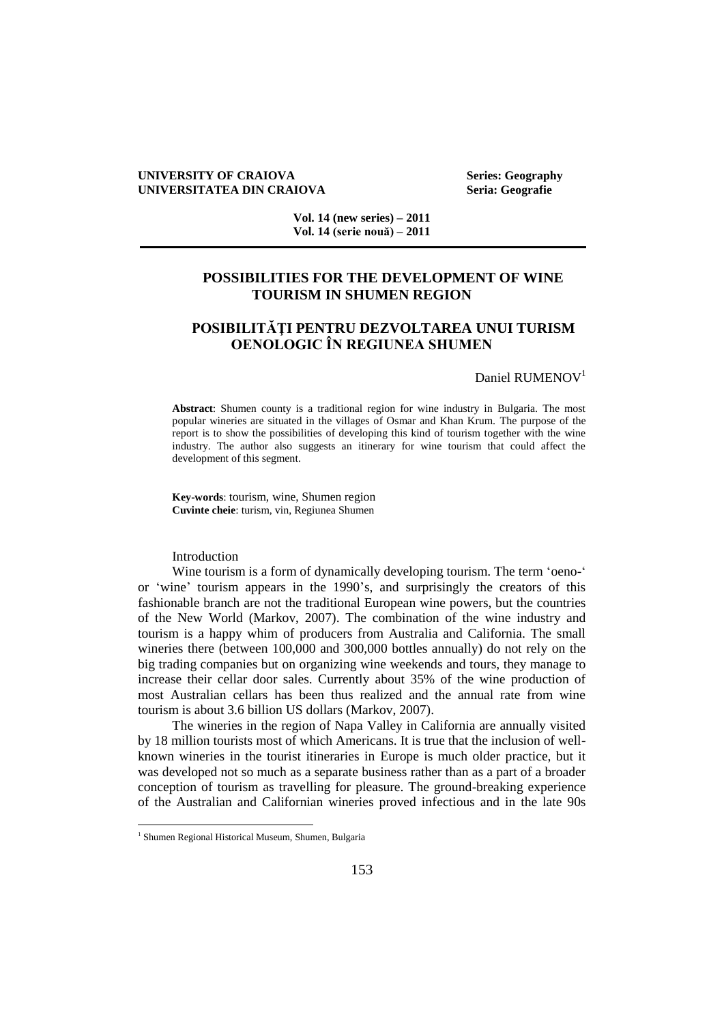## **UNIVERSITY OF CRAIOVA Series: Geography UNIVERSITATEA DIN CRAIOVA** Seria: Geografie

**Vol. 14 (new series) – 2011 Vol. 14 (serie nouă) – 2011**

## **POSSIBILITIES FOR THE DEVELOPMENT OF WINE TOURISM IN SHUMEN REGION**

# **POSIBILITĂŢI PENTRU DEZVOLTAREA UNUI TURISM OENOLOGIC ÎN REGIUNEA SHUMEN**

#### Daniel RUMENOV<sup>1</sup>

**Abstract**: Shumen county is a traditional region for wine industry in Bulgaria. The most popular wineries are situated in the villages of Osmar and Khan Krum. The purpose of the report is to show the possibilities of developing this kind of tourism together with the wine industry. The author also suggests an itinerary for wine tourism that could affect the development of this segment.

**Key-words**: tourism, wine, Shumen region **Cuvinte cheie**: turism, vin, Regiunea Shumen

## Introduction

Wine tourism is a form of dynamically developing tourism. The term 'oeno-' or 'wine' tourism appears in the 1990's, and surprisingly the creators of this fashionable branch are not the traditional European wine powers, but the countries of the New World (Markov, 2007). The combination of the wine industry and tourism is a happy whim of producers from Australia and California. The small wineries there (between 100,000 and 300,000 bottles annually) do not rely on the big trading companies but on organizing wine weekends and tours, they manage to increase their cellar door sales. Currently about 35% of the wine production of most Australian cellars has been thus realized and the annual rate from wine tourism is about 3.6 billion US dollars (Markov, 2007).

The wineries in the region of Napa Valley in California are annually visited by 18 million tourists most of which Americans. It is true that the inclusion of wellknown wineries in the tourist itineraries in Europe is much older practice, but it was developed not so much as a separate business rather than as a part of a broader conception of tourism as travelling for pleasure. The ground-breaking experience of the Australian and Californian wineries proved infectious and in the late 90s

 $\overline{a}$ 

<sup>&</sup>lt;sup>1</sup> Shumen Regional Historical Museum, Shumen, Bulgaria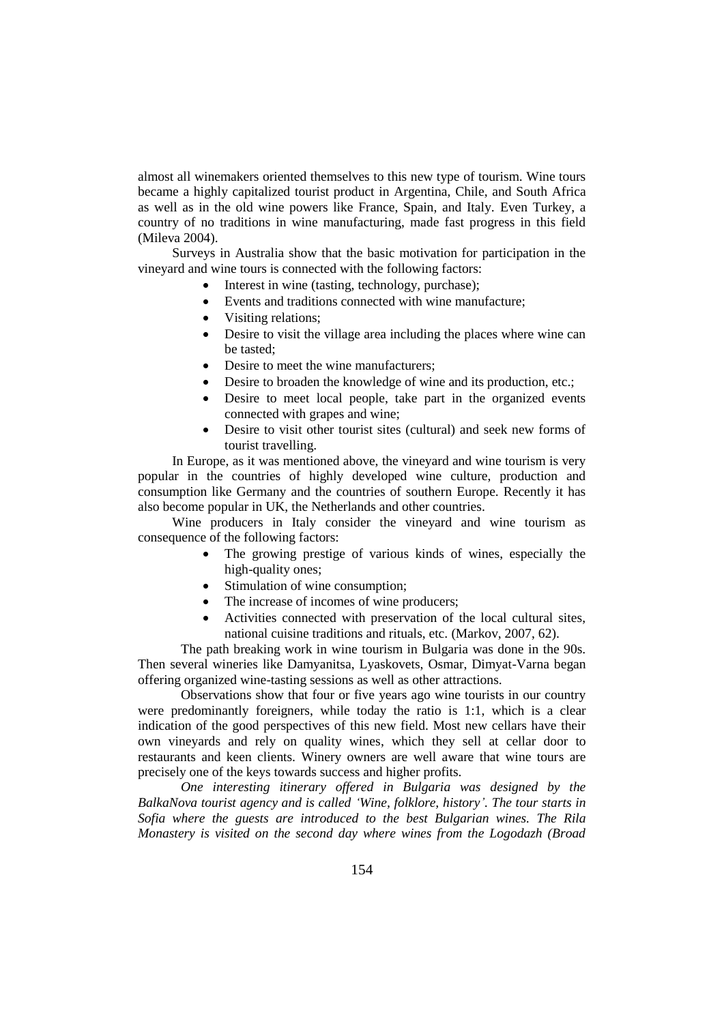almost all winemakers oriented themselves to this new type of tourism. Wine tours became a highly capitalized tourist product in Argentina, Chile, and South Africa as well as in the old wine powers like France, Spain, and Italy. Even Turkey, a country of no traditions in wine manufacturing, made fast progress in this field (Mileva 2004).

Surveys in Australia show that the basic motivation for participation in the vineyard and wine tours is connected with the following factors:

- Interest in wine (tasting, technology, purchase);
- Events and traditions connected with wine manufacture;
- Visiting relations:
- Desire to visit the village area including the places where wine can be tasted;
- Desire to meet the wine manufacturers;
- Desire to broaden the knowledge of wine and its production, etc.;
- Desire to meet local people, take part in the organized events connected with grapes and wine;
- Desire to visit other tourist sites (cultural) and seek new forms of tourist travelling.

In Europe, as it was mentioned above, the vineyard and wine tourism is very popular in the countries of highly developed wine culture, production and consumption like Germany and the countries of southern Europe. Recently it has also become popular in UK, the Netherlands and other countries.

Wine producers in Italy consider the vineyard and wine tourism as consequence of the following factors:

- The growing prestige of various kinds of wines, especially the high-quality ones;
- Stimulation of wine consumption;
- The increase of incomes of wine producers;
- Activities connected with preservation of the local cultural sites, national cuisine traditions and rituals, etc. (Markov, 2007, 62).

The path breaking work in wine tourism in Bulgaria was done in the 90s. Then several wineries like Damyanitsa, Lyaskovets, Osmar, Dimyat-Varna began offering organized wine-tasting sessions as well as other attractions.

Observations show that four or five years ago wine tourists in our country were predominantly foreigners, while today the ratio is 1:1, which is a clear indication of the good perspectives of this new field. Most new cellars have their own vineyards and rely on quality wines, which they sell at cellar door to restaurants and keen clients. Winery owners are well aware that wine tours are precisely one of the keys towards success and higher profits.

*One interesting itinerary offered in Bulgaria was designed by the BalkaNova tourist agency and is called 'Wine, folklore, history'. The tour starts in Sofia where the guests are introduced to the best Bulgarian wines. The Rila Monastery is visited on the second day where wines from the Logodazh (Broad*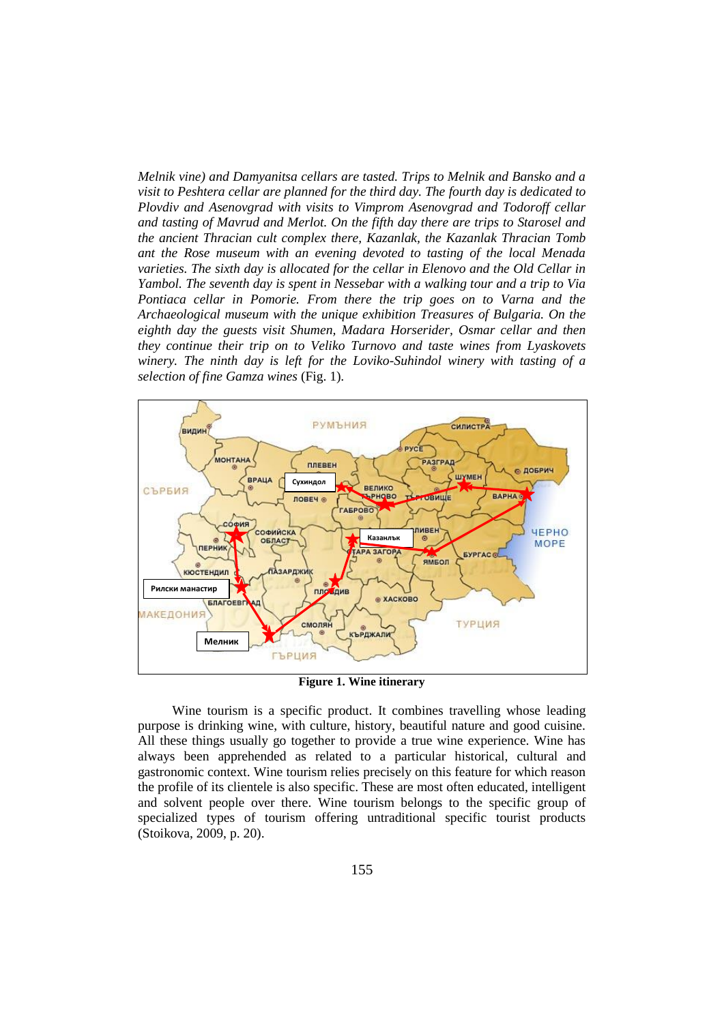*Melnik vine) and Damyanitsa cellars are tasted. Trips to Melnik and Bansko and a visit to Peshtera cellar are planned for the third day. The fourth day is dedicated to Plovdiv and Asenovgrad with visits to Vimprom Asenovgrad and Todoroff cellar and tasting of Mavrud and Merlot. On the fifth day there are trips to Starosel and the ancient Thracian cult complex there, Kazanlak, the Kazanlak Thracian Tomb ant the Rose museum with an evening devoted to tasting of the local Menada varieties. The sixth day is allocated for the cellar in Elenovo and the Old Cellar in Yambol. The seventh day is spent in Nessebar with a walking tour and a trip to Via Pontiaca cellar in Pomorie. From there the trip goes on to Varna and the Archaeological museum with the unique exhibition Treasures of Bulgaria. On the eighth day the guests visit Shumen, Madara Horserider, Osmar cellar and then they continue their trip on to Veliko Turnovo and taste wines from Lyaskovets winery. The ninth day is left for the Loviko-Suhindol winery with tasting of a selection of fine Gamza wines* (Fig. 1)*.* 



**Figure 1. Wine itinerary**

Wine tourism is a specific product. It combines travelling whose leading purpose is drinking wine, with culture, history, beautiful nature and good cuisine. All these things usually go together to provide a true wine experience. Wine has always been apprehended as related to a particular historical, cultural and gastronomic context. Wine tourism relies precisely on this feature for which reason the profile of its clientele is also specific. These are most often educated, intelligent and solvent people over there. Wine tourism belongs to the specific group of specialized types of tourism offering untraditional specific tourist products (Stoikova, 2009, p. 20).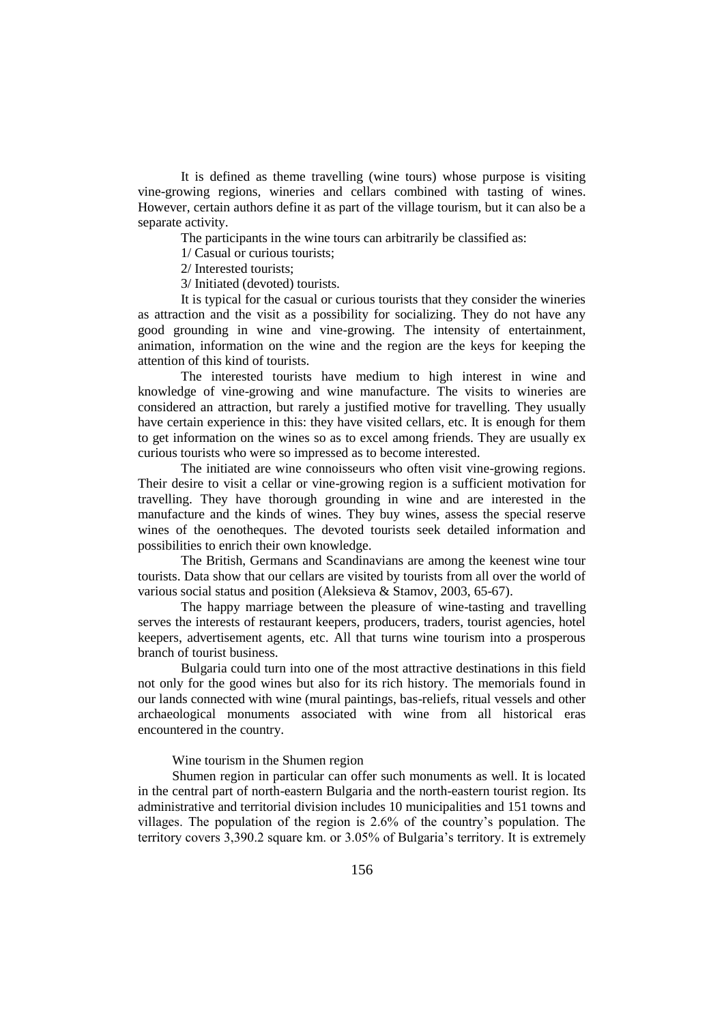It is defined as theme travelling (wine tours) whose purpose is visiting vine-growing regions, wineries and cellars combined with tasting of wines. However, certain authors define it as part of the village tourism, but it can also be a separate activity.

The participants in the wine tours can arbitrarily be classified as:

1/ Casual or curious tourists;

2/ Interested tourists;

3/ Initiated (devoted) tourists.

It is typical for the casual or curious tourists that they consider the wineries as attraction and the visit as a possibility for socializing. They do not have any good grounding in wine and vine-growing. The intensity of entertainment, animation, information on the wine and the region are the keys for keeping the attention of this kind of tourists.

The interested tourists have medium to high interest in wine and knowledge of vine-growing and wine manufacture. The visits to wineries are considered an attraction, but rarely a justified motive for travelling. They usually have certain experience in this: they have visited cellars, etc. It is enough for them to get information on the wines so as to excel among friends. They are usually ex curious tourists who were so impressed as to become interested.

The initiated are wine connoisseurs who often visit vine-growing regions. Their desire to visit a cellar or vine-growing region is a sufficient motivation for travelling. They have thorough grounding in wine and are interested in the manufacture and the kinds of wines. They buy wines, assess the special reserve wines of the oenotheques. The devoted tourists seek detailed information and possibilities to enrich their own knowledge.

The British, Germans and Scandinavians are among the keenest wine tour tourists. Data show that our cellars are visited by tourists from all over the world of various social status and position (Aleksieva & Stamov, 2003, 65-67).

The happy marriage between the pleasure of wine-tasting and travelling serves the interests of restaurant keepers, producers, traders, tourist agencies, hotel keepers, advertisement agents, etc. All that turns wine tourism into a prosperous branch of tourist business.

Bulgaria could turn into one of the most attractive destinations in this field not only for the good wines but also for its rich history. The memorials found in our lands connected with wine (mural paintings, bas-reliefs, ritual vessels and other archaeological monuments associated with wine from all historical eras encountered in the country.

## Wine tourism in the Shumen region

Shumen region in particular can offer such monuments as well. It is located in the central part of north-eastern Bulgaria and the north-eastern tourist region. Its administrative and territorial division includes 10 municipalities and 151 towns and villages. The population of the region is 2.6% of the country's population. The territory covers 3,390.2 square km. or 3.05% of Bulgaria's territory. It is extremely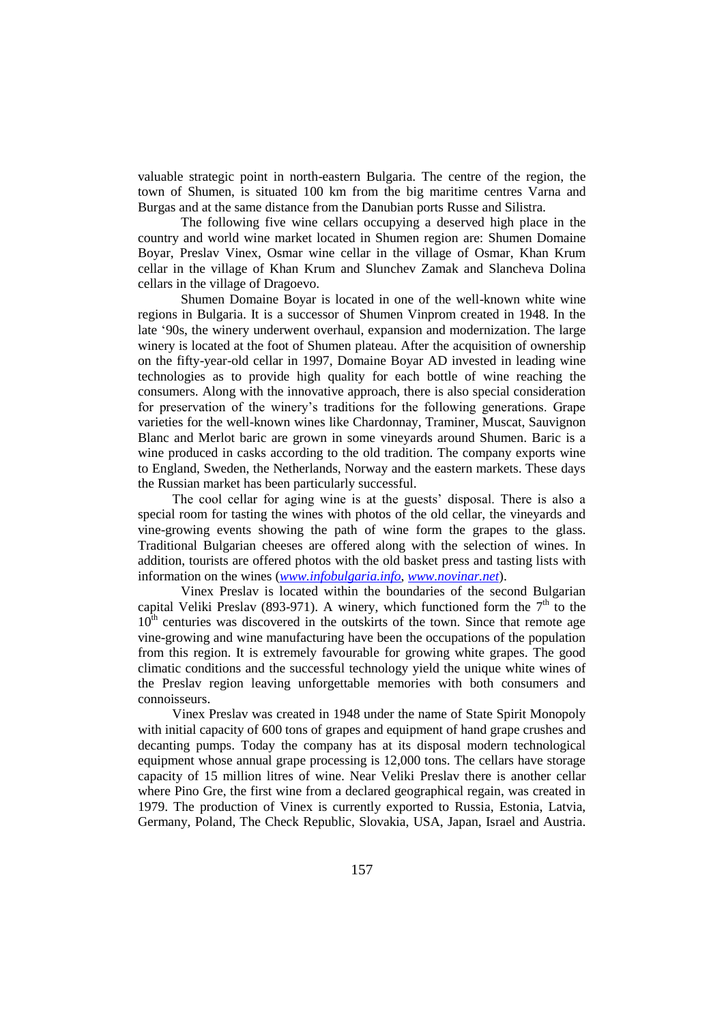valuable strategic point in north-eastern Bulgaria. The centre of the region, the town of Shumen, is situated 100 km from the big maritime centres Varna and Burgas and at the same distance from the Danubian ports Russe and Silistra.

The following five wine cellars occupying a deserved high place in the country and world wine market located in Shumen region are: Shumen Domaine Boyar, Preslav Vinex, Osmar wine cellar in the village of Osmar, Khan Krum cellar in the village of Khan Krum and Slunchev Zamak and Slancheva Dolina cellars in the village of Dragoevo.

Shumen Domaine Boyar is located in one of the well-known white wine regions in Bulgaria. It is a successor of Shumen Vinprom created in 1948. In the late '90s, the winery underwent overhaul, expansion and modernization. The large winery is located at the foot of Shumen plateau. After the acquisition of ownership on the fifty-year-old cellar in 1997, Domaine Boyar AD invested in leading wine technologies as to provide high quality for each bottle of wine reaching the consumers. Along with the innovative approach, there is also special consideration for preservation of the winery's traditions for the following generations. Grape varieties for the well-known wines like Chardonnay, Traminer, Muscat, Sauvignon Blanc and Merlot baric are grown in some vineyards around Shumen. Baric is a wine produced in casks according to the old tradition. The company exports wine to England, Sweden, the Netherlands, Norway and the eastern markets. These days the Russian market has been particularly successful.

The cool cellar for aging wine is at the guests' disposal. There is also a special room for tasting the wines with photos of the old cellar, the vineyards and vine-growing events showing the path of wine form the grapes to the glass. Traditional Bulgarian cheeses are offered along with the selection of wines. In addition, tourists are offered photos with the old basket press and tasting lists with information on the wines (*[www.infobulgaria.info](http://www.infobulgaria.info/)*, *[www.novinar.net](http://www.novinar.net/)*).

Vinex Preslav is located within the boundaries of the second Bulgarian capital Veliki Preslav (893-971). A winery, which functioned form the  $7<sup>th</sup>$  to the  $10<sup>th</sup>$  centuries was discovered in the outskirts of the town. Since that remote age vine-growing and wine manufacturing have been the occupations of the population from this region. It is extremely favourable for growing white grapes. The good climatic conditions and the successful technology yield the unique white wines of the Preslav region leaving unforgettable memories with both consumers and connoisseurs.

Vinex Preslav was created in 1948 under the name of State Spirit Monopoly with initial capacity of 600 tons of grapes and equipment of hand grape crushes and decanting pumps. Today the company has at its disposal modern technological equipment whose annual grape processing is 12,000 tons. The cellars have storage capacity of 15 million litres of wine. Near Veliki Preslav there is another cellar where Pino Gre, the first wine from a declared geographical regain, was created in 1979. The production of Vinex is currently exported to Russia, Estonia, Latvia, Germany, Poland, The Check Republic, Slovakia, USA, Japan, Israel and Austria.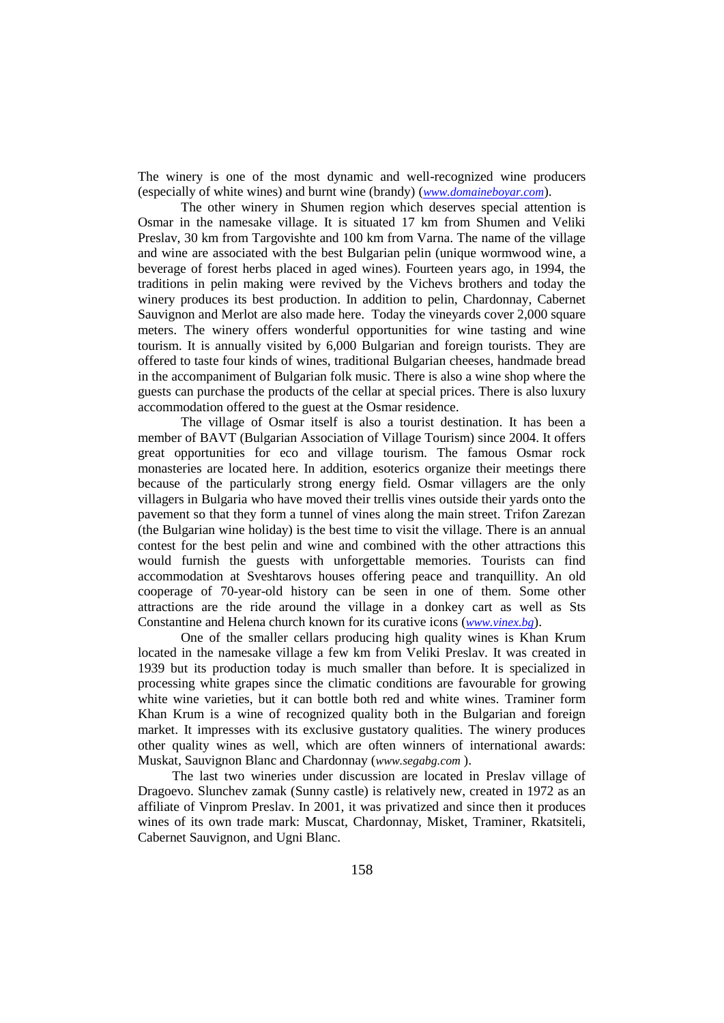The winery is one of the most dynamic and well-recognized wine producers (especially of white wines) and burnt wine (brandy) (*[www.domaineboyar.com](http://www.domaineboyar.com/)*).

The other winery in Shumen region which deserves special attention is Osmar in the namesake village. It is situated 17 km from Shumen and Veliki Preslav, 30 km from Targovishte and 100 km from Varna. The name of the village and wine are associated with the best Bulgarian pelin (unique wormwood wine, a beverage of forest herbs placed in aged wines). Fourteen years ago, in 1994, the traditions in pelin making were revived by the Vichevs brothers and today the winery produces its best production. In addition to pelin, Chardonnay, Cabernet Sauvignon and Merlot are also made here. Today the vineyards cover 2,000 square meters. The winery offers wonderful opportunities for wine tasting and wine tourism. It is annually visited by 6,000 Bulgarian and foreign tourists. They are offered to taste four kinds of wines, traditional Bulgarian cheeses, handmade bread in the accompaniment of Bulgarian folk music. There is also a wine shop where the guests can purchase the products of the cellar at special prices. There is also luxury accommodation offered to the guest at the Osmar residence.

The village of Osmar itself is also a tourist destination. It has been a member of BAVT (Bulgarian Association of Village Tourism) since 2004. It offers great opportunities for eco and village tourism. The famous Osmar rock monasteries are located here. In addition, esoterics organize their meetings there because of the particularly strong energy field. Osmar villagers are the only villagers in Bulgaria who have moved their trellis vines outside their yards onto the pavement so that they form a tunnel of vines along the main street. Trifon Zarezan (the Bulgarian wine holiday) is the best time to visit the village. There is an annual contest for the best pelin and wine and combined with the other attractions this would furnish the guests with unforgettable memories. Tourists can find accommodation at Sveshtarovs houses offering peace and tranquillity. An old cooperage of 70-year-old history can be seen in one of them. Some other attractions are the ride around the village in a donkey cart as well as Sts Constantine and Helena church known for its curative icons (*[www.vinex.bg](http://www.vinex.bg/)*).

One of the smaller cellars producing high quality wines is Khan Krum located in the namesake village a few km from Veliki Preslav. It was created in 1939 but its production today is much smaller than before. It is specialized in processing white grapes since the climatic conditions are favourable for growing white wine varieties, but it can bottle both red and white wines. Traminer form Khan Krum is a wine of recognized quality both in the Bulgarian and foreign market. It impresses with its exclusive gustatory qualities. The winery produces other quality wines as well, which are often winners of international awards: Muskat, Sauvignon Blanc and Chardonnay (*www.segabg.com* ).

The last two wineries under discussion are located in Preslav village of Dragoevo. Slunchev zamak (Sunny castle) is relatively new, created in 1972 as an affiliate of Vinprom Preslav. In 2001, it was privatized and since then it produces wines of its own trade mark: Muscat, Chardonnay, Misket, Traminer, Rkatsiteli, Cabernet Sauvignon, and Ugni Blanc.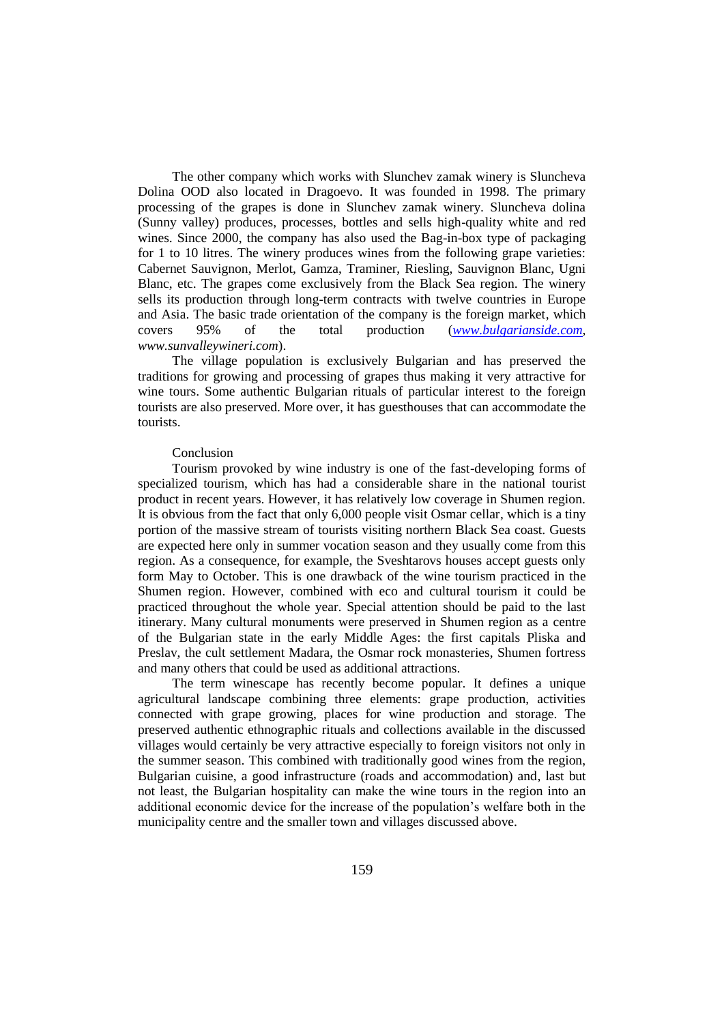The other company which works with Slunchev zamak winery is Sluncheva Dolina OOD also located in Dragoevo. It was founded in 1998. The primary processing of the grapes is done in Slunchev zamak winery. Sluncheva dolina (Sunny valley) produces, processes, bottles and sells high-quality white and red wines. Since 2000, the company has also used the Bag-in-box type of packaging for 1 to 10 litres. The winery produces wines from the following grape varieties: Cabernet Sauvignon, Merlot, Gamza, Traminer, Riesling, Sauvignon Blanc, Ugni Blanc, etc. The grapes come exclusively from the Black Sea region. The winery sells its production through long-term contracts with twelve countries in Europe and Asia. The basic trade orientation of the company is the foreign market, which covers 95% of the total production (*[www.bulgarianside.com](http://www.bulgarianside.com/)*, *www.sunvalleywineri.com*).

The village population is exclusively Bulgarian and has preserved the traditions for growing and processing of grapes thus making it very attractive for wine tours. Some authentic Bulgarian rituals of particular interest to the foreign tourists are also preserved. More over, it has guesthouses that can accommodate the tourists.

## Conclusion

Tourism provoked by wine industry is one of the fast-developing forms of specialized tourism, which has had a considerable share in the national tourist product in recent years. However, it has relatively low coverage in Shumen region. It is obvious from the fact that only 6,000 people visit Osmar cellar, which is a tiny portion of the massive stream of tourists visiting northern Black Sea coast. Guests are expected here only in summer vocation season and they usually come from this region. As a consequence, for example, the Sveshtarovs houses accept guests only form May to October. This is one drawback of the wine tourism practiced in the Shumen region. However, combined with eco and cultural tourism it could be practiced throughout the whole year. Special attention should be paid to the last itinerary. Many cultural monuments were preserved in Shumen region as a centre of the Bulgarian state in the early Middle Ages: the first capitals Pliska and Preslav, the cult settlement Madara, the Osmar rock monasteries, Shumen fortress and many others that could be used as additional attractions.

The term winescape has recently become popular. It defines a unique agricultural landscape combining three elements: grape production, activities connected with grape growing, places for wine production and storage. The preserved authentic ethnographic rituals and collections available in the discussed villages would certainly be very attractive especially to foreign visitors not only in the summer season. This combined with traditionally good wines from the region, Bulgarian cuisine, a good infrastructure (roads and accommodation) and, last but not least, the Bulgarian hospitality can make the wine tours in the region into an additional economic device for the increase of the population's welfare both in the municipality centre and the smaller town and villages discussed above.